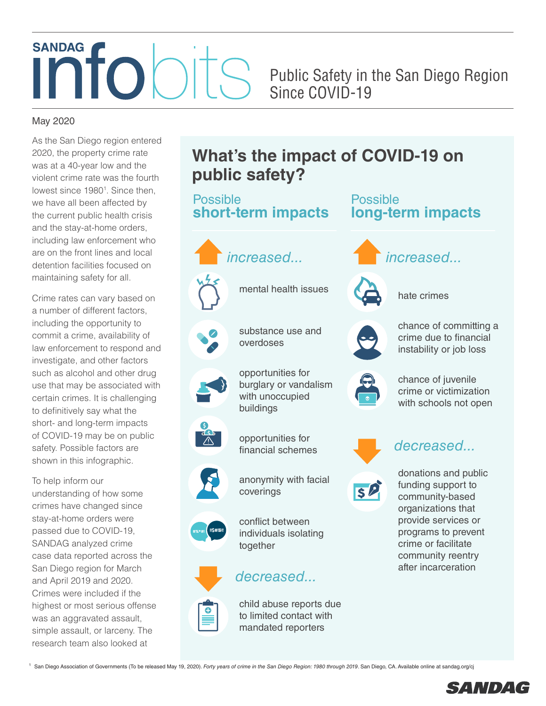# **SANDAG**

Public Safety in the San Diego Region Since COVID-19

# May 2020

As the San Diego region entered 2020, the property crime rate was at a 40-year low and the violent crime rate was the fourth lowest since 1980<sup>1</sup>. Since then, we have all been affected by the current public health crisis and the stay-at-home orders, including law enforcement who are on the front lines and local detention facilities focused on maintaining safety for all.

Crime rates can vary based on a number of different factors, including the opportunity to commit a crime, availability of law enforcement to respond and investigate, and other factors such as alcohol and other drug use that may be associated with certain crimes. It is challenging to definitively say what the short- and long-term impacts of COVID-19 may be on public safety. Possible factors are shown in this infographic.

To help inform our understanding of how some crimes have changed since stay-at-home orders were passed due to COVID-19, SANDAG analyzed crime case data reported across the San Diego region for March and April 2019 and 2020. Crimes were included if the highest or most serious offense was an aggravated assault, simple assault, or larceny. The research team also looked at

# **What's the impact of COVID-19 on public safety?**

Possible Possible **long-term impacts short-term impacts** *increased... increased...* mental health issues hate crimes chance of committing a substance use and crime due to financial overdoses instability or job loss opportunities for chance of juvenile burglary or vandalism crime or victimization with unoccupied with schools not open buildings opportunities for *decreased...* financial schemes donations and public anonymity with facial SP funding support to coverings community-based organizations that provide services or conflict between ( **II**\$#!&! programs to prevent individuals isolating crime or facilitate together community reentry after incarceration





child abuse reports due to limited contact with mandated reporters

1 San Diego Association of Governments (To be released May 19, 2020). *Forty years of crime in the San Diego Region: 1980 through 2019*. San Diego, CA. Available online at sandag.org/cj

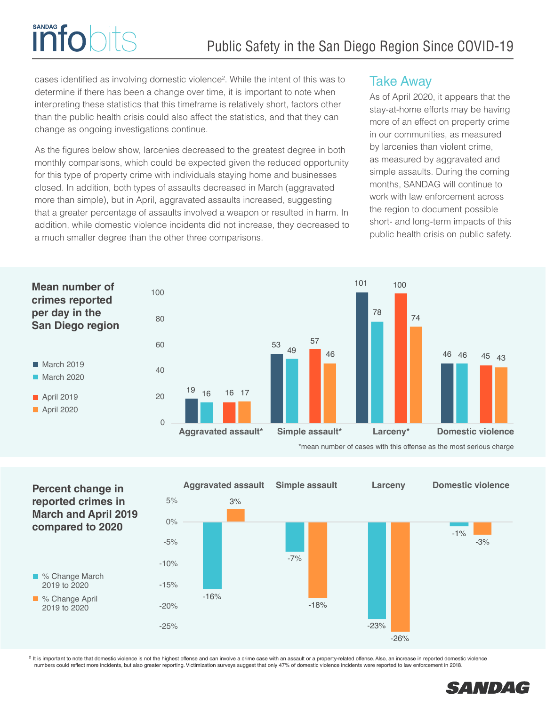cases identified as involving domestic violence<sup>2</sup>. While the intent of this was to determine if there has been a change over time, it is important to note when interpreting these statistics that this timeframe is relatively short, factors other than the public health crisis could also affect the statistics, and that they can change as ongoing investigations continue.

**SANDAG** 

**Info** 

As the figures below show, larcenies decreased to the greatest degree in both monthly comparisons, which could be expected given the reduced opportunity for this type of property crime with individuals staying home and businesses closed. In addition, both types of assaults decreased in March (aggravated more than simple), but in April, aggravated assaults increased, suggesting that a greater percentage of assaults involved a weapon or resulted in harm. In addition, while domestic violence incidents did not increase, they decreased to a much smaller degree than the other three comparisons.

# Take Away

As of April 2020, it appears that the stay-at-home efforts may be having more of an effect on property crime in our communities, as measured by larcenies than violent crime, as measured by aggravated and simple assaults. During the coming months, SANDAG will continue to work with law enforcement across the region to document possible short- and long-term impacts of this public health crisis on public safety.



\*mean number of cases with this offense as the most serious charge



<sup>2</sup> It is important to note that domestic violence is not the highest offense and can involve a crime case with an assault or a property-related offense. Also, an increase in reported domestic violence numbers could reflect more incidents, but also greater reporting. Victimization surveys suggest that only 47% of domestic violence incidents were reported to law enforcement in 2018.